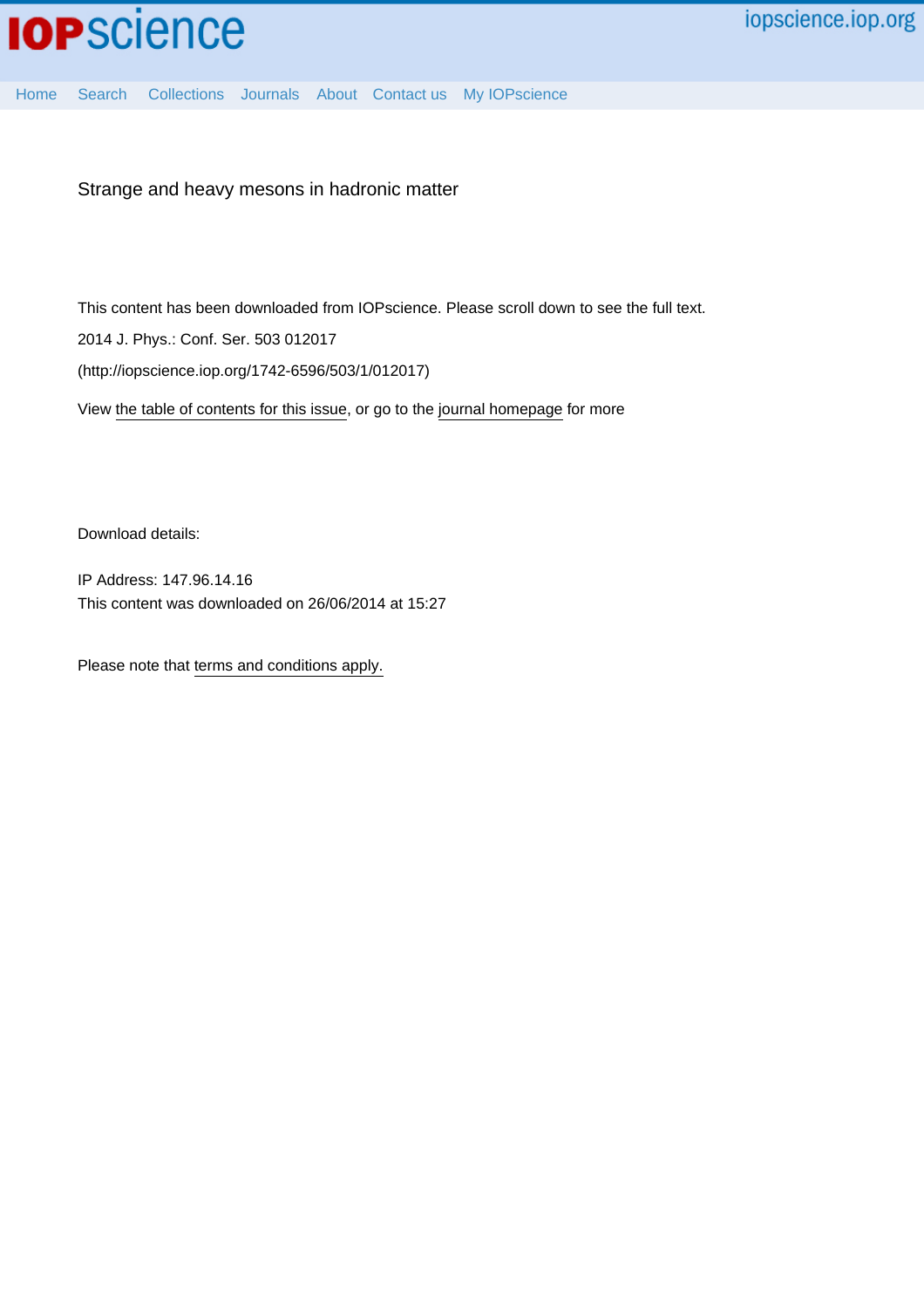

[Home](http://iopscience.iop.org/) [Search](http://iopscience.iop.org/search) [Collections](http://iopscience.iop.org/collections) [Journals](http://iopscience.iop.org/journals) [About](http://iopscience.iop.org/page/aboutioppublishing) [Contact us](http://iopscience.iop.org/contact) [My IOPscience](http://iopscience.iop.org/myiopscience)

Strange and heavy mesons in hadronic matter

This content has been downloaded from IOPscience. Please scroll down to see the full text.

2014 J. Phys.: Conf. Ser. 503 012017

(http://iopscience.iop.org/1742-6596/503/1/012017)

View [the table of contents for this issue](http://iopscience.iop.org/1742-6596/503/1), or go to the [journal homepage](http://iopscience.iop.org/1742-6596) for more

Download details:

IP Address: 147.96.14.16 This content was downloaded on 26/06/2014 at 15:27

Please note that [terms and conditions apply.](iopscience.iop.org/page/terms)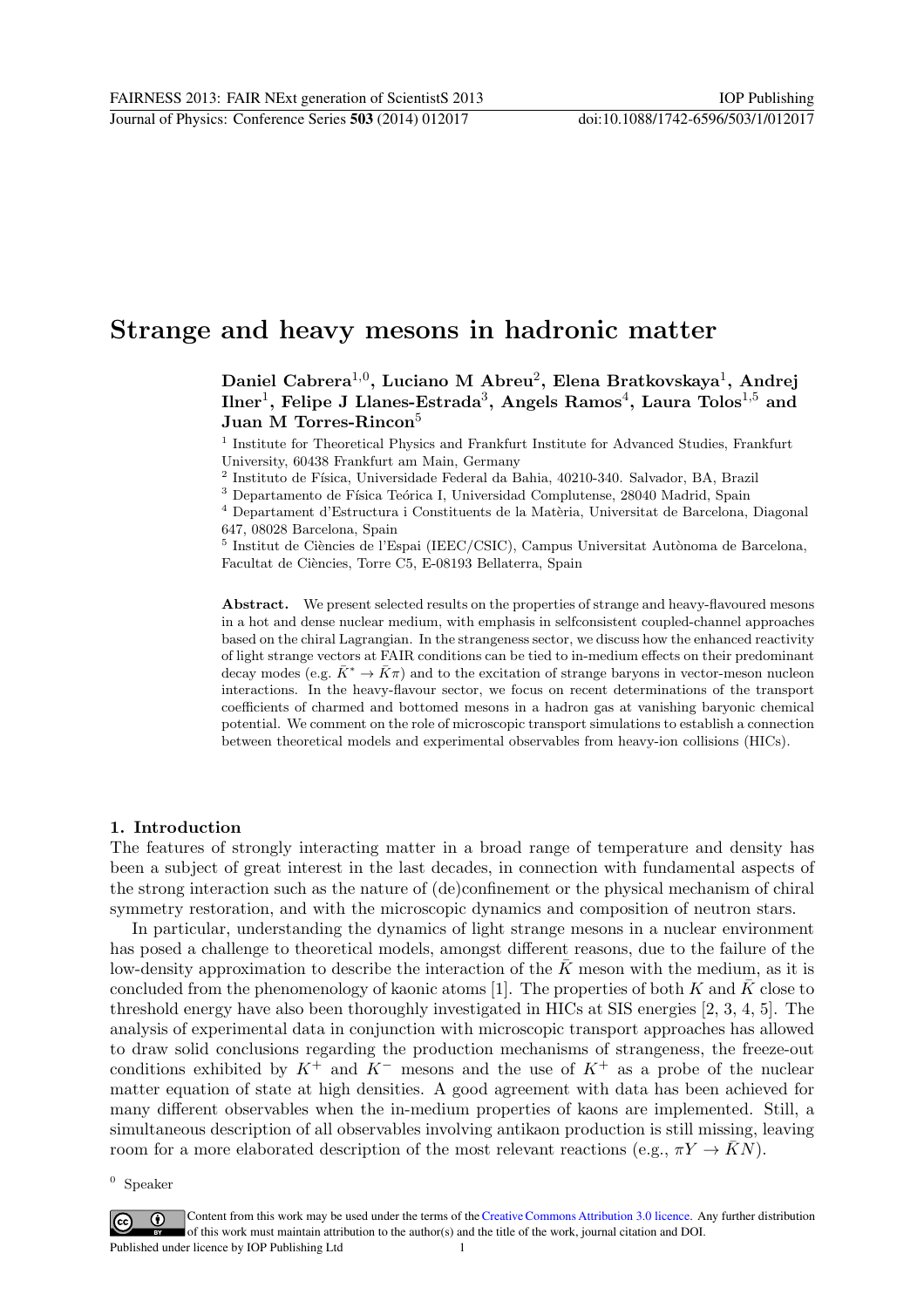# Strange and heavy mesons in hadronic matter

Daniel Cabrera $^{1,0}$ , Luciano M Abreu $^2$ , Elena Bratkovskaya $^1$ , Andrej  ${\rm Inner}^1,$  Felipe J Llanes-Estrada $^3,$  Angels  ${\rm Ramos}^4,$  Laura Tolos $^{1,5}$  and Juan M Torres-Rincon<sup>5</sup>

<sup>1</sup> Institute for Theoretical Physics and Frankfurt Institute for Advanced Studies, Frankfurt University, 60438 Frankfurt am Main, Germany

 $^2$ Instituto de Física, Universidade Federal da Bahia, 40210-340. Salvador, BA, Brazil

 $^3$  Departamento de Física Teórica I, Universidad Complutense, 28040 Madrid, Spain

 $^4$  Departament d'Estructura i Constituents de la Matèria, Universitat de Barcelona, Diagonal 647, 08028 Barcelona, Spain

<sup>5</sup> Institut de Ciències de l'Espai (IEEC/CSIC), Campus Universitat Autònoma de Barcelona, Facultat de Ciències, Torre C5, E-08193 Bellaterra, Spain

Abstract. We present selected results on the properties of strange and heavy-flavoured mesons in a hot and dense nuclear medium, with emphasis in selfconsistent coupled-channel approaches based on the chiral Lagrangian. In the strangeness sector, we discuss how the enhanced reactivity of light strange vectors at FAIR conditions can be tied to in-medium effects on their predominant decay modes (e.g.  $\bar{K}^* \to \bar{K}\pi$ ) and to the excitation of strange baryons in vector-meson nucleon interactions. In the heavy-flavour sector, we focus on recent determinations of the transport coefficients of charmed and bottomed mesons in a hadron gas at vanishing baryonic chemical potential. We comment on the role of microscopic transport simulations to establish a connection between theoretical models and experimental observables from heavy-ion collisions (HICs).

# 1. Introduction

The features of strongly interacting matter in a broad range of temperature and density has been a subject of great interest in the last decades, in connection with fundamental aspects of the strong interaction such as the nature of (de)confinement or the physical mechanism of chiral symmetry restoration, and with the microscopic dynamics and composition of neutron stars.

In particular, understanding the dynamics of light strange mesons in a nuclear environment has posed a challenge to theoretical models, amongst different reasons, due to the failure of the low-density approximation to describe the interaction of the  $\bar{K}$  meson with the medium, as it is concluded from the phenomenology of kaonic atoms [1]. The properties of both K and  $\overline{K}$  close to threshold energy have also been thoroughly investigated in HICs at SIS energies [2, 3, 4, 5]. The analysis of experimental data in conjunction with microscopic transport approaches has allowed to draw solid conclusions regarding the production mechanisms of strangeness, the freeze-out conditions exhibited by  $K^+$  and  $K^-$  mesons and the use of  $K^+$  as a probe of the nuclear matter equation of state at high densities. A good agreement with data has been achieved for many different observables when the in-medium properties of kaons are implemented. Still, a simultaneous description of all observables involving antikaon production is still missing, leaving room for a more elaborated description of the most relevant reactions (e.g.,  $\pi Y \to \bar{K}N$ ).

 $0$  Speaker

Content from this work may be used under the terms of theCreative Commons Attribution 3.0 licence. Any further distribution  $\odot$  $\left(\mathrm{cc}\right)$ of this work must maintain attribution to the author(s) and the title of the work, journal citation and DOI.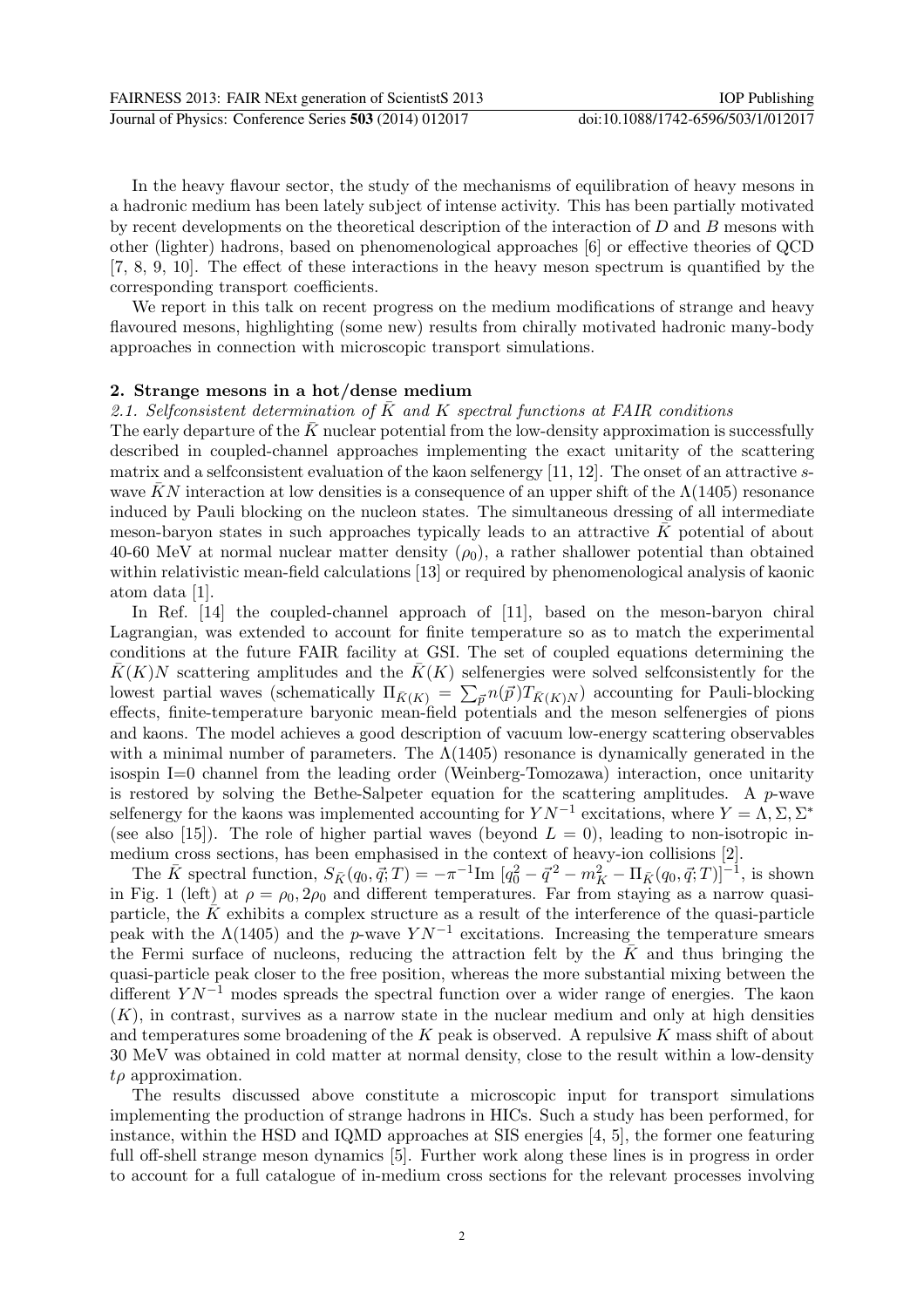In the heavy flavour sector, the study of the mechanisms of equilibration of heavy mesons in a hadronic medium has been lately subject of intense activity. This has been partially motivated by recent developments on the theoretical description of the interaction of  $D$  and  $B$  mesons with other (lighter) hadrons, based on phenomenological approaches [6] or effective theories of QCD [7, 8, 9, 10]. The effect of these interactions in the heavy meson spectrum is quantified by the corresponding transport coefficients.

We report in this talk on recent progress on the medium modifications of strange and heavy flavoured mesons, highlighting (some new) results from chirally motivated hadronic many-body approaches in connection with microscopic transport simulations.

## 2. Strange mesons in a hot/dense medium

#### 2.1. Selfconsistent determination of K and K spectral functions at FAIR conditions

The early departure of the  $\bar{K}$  nuclear potential from the low-density approximation is successfully described in coupled-channel approaches implementing the exact unitarity of the scattering matrix and a selfconsistent evaluation of the kaon selfenergy  $[11, 12]$ . The onset of an attractive swave KN interaction at low densities is a consequence of an upper shift of the  $\Lambda(1405)$  resonance induced by Pauli blocking on the nucleon states. The simultaneous dressing of all intermediate meson-baryon states in such approaches typically leads to an attractive  $K$  potential of about 40-60 MeV at normal nuclear matter density  $(\rho_0)$ , a rather shallower potential than obtained within relativistic mean-field calculations [13] or required by phenomenological analysis of kaonic atom data [1].

In Ref. [14] the coupled-channel approach of [11], based on the meson-baryon chiral Lagrangian, was extended to account for finite temperature so as to match the experimental conditions at the future FAIR facility at GSI. The set of coupled equations determining the  $\overline{K}(K)N$  scattering amplitudes and the  $\overline{K}(K)$  selfenergies were solved selfconsistently for the lowest partial waves (schematically  $\Pi_{\bar{K}(K)} = \sum_{\vec{p}} n(\vec{p}) T_{\bar{K}(K)N}$ ) accounting for Pauli-blocking effects, finite-temperature baryonic mean-field potentials and the meson selfenergies of pions and kaons. The model achieves a good description of vacuum low-energy scattering observables with a minimal number of parameters. The  $\Lambda(1405)$  resonance is dynamically generated in the isospin I=0 channel from the leading order (Weinberg-Tomozawa) interaction, once unitarity is restored by solving the Bethe-Salpeter equation for the scattering amplitudes. A  $p$ -wave selfenergy for the kaons was implemented accounting for  $YN^{-1}$  excitations, where  $Y = \Lambda, \Sigma, \Sigma^*$ (see also [15]). The role of higher partial waves (beyond  $L = 0$ ), leading to non-isotropic inmedium cross sections, has been emphasised in the context of heavy-ion collisions [2].

The  $\bar{K}$  spectral function,  $S_{\bar{K}}(q_0, \vec{q}; T) = -\pi^{-1} \text{Im} [q_0^2 - \vec{q}^2 - m_K^2 - \Pi_{\bar{K}}(q_0, \vec{q}; T)]^{-1}$ , is shown in Fig. 1 (left) at  $\rho = \rho_0, 2\rho_0$  and different temperatures. Far from staying as a narrow quasiparticle, the  $\bar{K}$  exhibits a complex structure as a result of the interference of the quasi-particle peak with the  $\Lambda(1405)$  and the p-wave  $YN^{-1}$  excitations. Increasing the temperature smears the Fermi surface of nucleons, reducing the attraction felt by the  $\bar{K}$  and thus bringing the quasi-particle peak closer to the free position, whereas the more substantial mixing between the different  $YN^{-1}$  modes spreads the spectral function over a wider range of energies. The kaon  $(K)$ , in contrast, survives as a narrow state in the nuclear medium and only at high densities and temperatures some broadening of the  $K$  peak is observed. A repulsive  $K$  mass shift of about 30 MeV was obtained in cold matter at normal density, close to the result within a low-density  $t\rho$  approximation.

The results discussed above constitute a microscopic input for transport simulations implementing the production of strange hadrons in HICs. Such a study has been performed, for instance, within the HSD and IQMD approaches at SIS energies [4, 5], the former one featuring full off-shell strange meson dynamics [5]. Further work along these lines is in progress in order to account for a full catalogue of in-medium cross sections for the relevant processes involving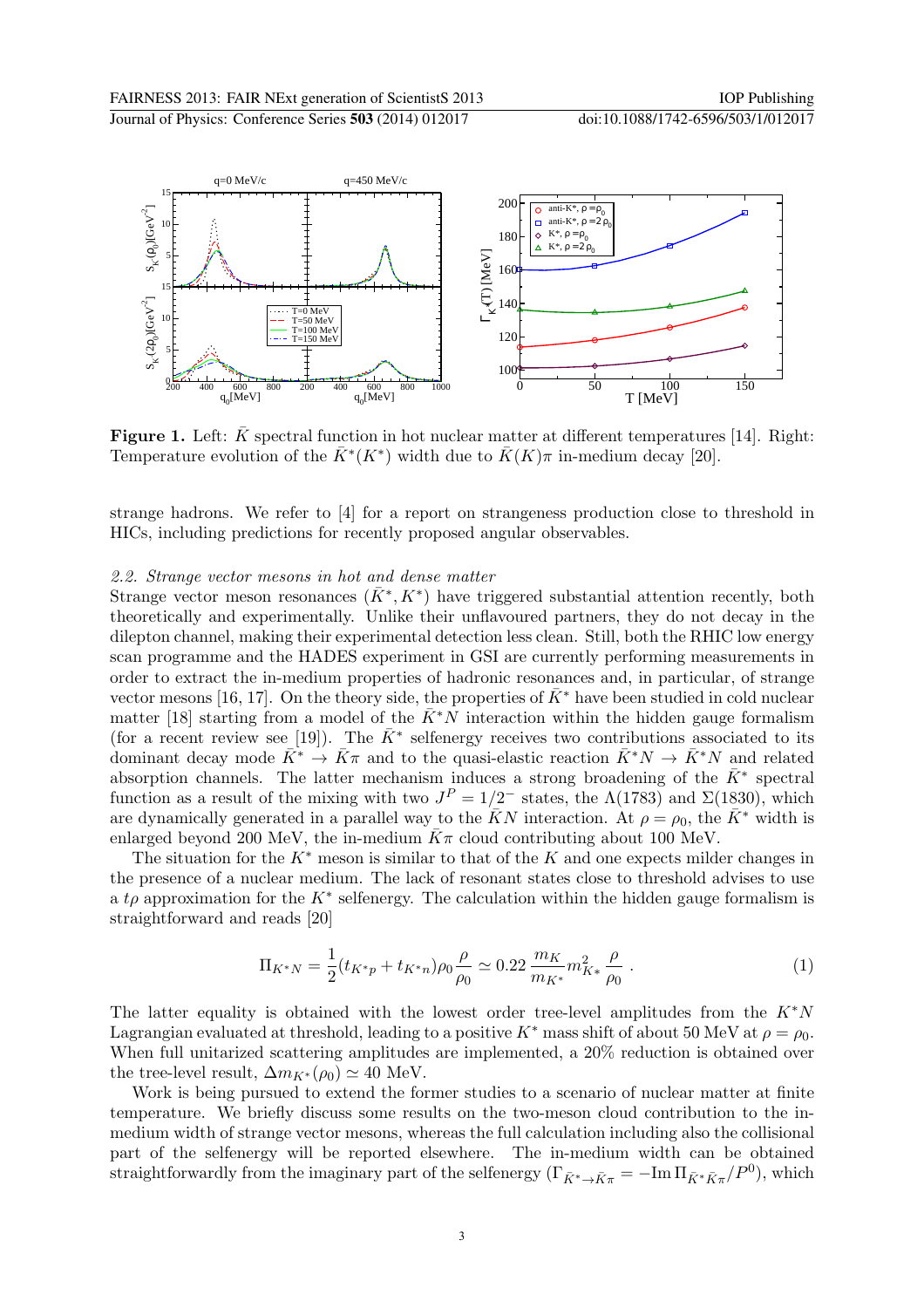

**Figure 1.** Left:  $\bar{K}$  spectral function in hot nuclear matter at different temperatures [14]. Right: Temperature evolution of the  $\bar{K}^*(K^*)$  width due to  $\bar{K}(K)\pi$  in-medium decay [20].

strange hadrons. We refer to [4] for a report on strangeness production close to threshold in HICs, including predictions for recently proposed angular observables.

#### 2.2. Strange vector mesons in hot and dense matter

Strange vector meson resonances  $(\bar{K}^*, K^*)$  have triggered substantial attention recently, both theoretically and experimentally. Unlike their unflavoured partners, they do not decay in the dilepton channel, making their experimental detection less clean. Still, both the RHIC low energy scan programme and the HADES experiment in GSI are currently performing measurements in order to extract the in-medium properties of hadronic resonances and, in particular, of strange vector mesons [16, 17]. On the theory side, the properties of  $\bar{K}^*$  have been studied in cold nuclear matter [18] starting from a model of the  $\bar{K}^*N$  interaction within the hidden gauge formalism (for a recent review see [19]). The  $\bar{K}^*$  selfenergy receives two contributions associated to its dominant decay mode  $\bar{K}^* \to \bar{K}\pi$  and to the quasi-elastic reaction  $\bar{K}^*N \to \bar{K}^*N$  and related absorption channels. The latter mechanism induces a strong broadening of the  $\bar{K}^*$  spectral function as a result of the mixing with two  $J<sup>P</sup> = 1/2^-$  states, the  $\Lambda(1783)$  and  $\Sigma(1830)$ , which are dynamically generated in a parallel way to the  $\bar{K}N$  interaction. At  $\rho = \rho_0$ , the  $\bar{K}^*$  width is enlarged beyond 200 MeV, the in-medium  $\bar{K}\pi$  cloud contributing about 100 MeV.

The situation for the  $K^*$  meson is similar to that of the K and one expects milder changes in the presence of a nuclear medium. The lack of resonant states close to threshold advises to use a t<sub>p</sub> approximation for the K<sup>\*</sup> selfenergy. The calculation within the hidden gauge formalism is straightforward and reads [20]

$$
\Pi_{K^*N} = \frac{1}{2}(t_{K^*p} + t_{K^*n})\rho_0 \frac{\rho}{\rho_0} \simeq 0.22 \frac{m_K}{m_{K^*}} m_{K^*}^2 \frac{\rho}{\rho_0} \ . \tag{1}
$$

The latter equality is obtained with the lowest order tree-level amplitudes from the  $K^*N$ Lagrangian evaluated at threshold, leading to a positive K<sup>∗</sup> mass shift of about 50 MeV at  $\rho = \rho_0$ . When full unitarized scattering amplitudes are implemented, a  $20\%$  reduction is obtained over the tree-level result,  $\Delta m_{K^*}(\rho_0) \simeq 40$  MeV.

Work is being pursued to extend the former studies to a scenario of nuclear matter at finite temperature. We briefly discuss some results on the two-meson cloud contribution to the inmedium width of strange vector mesons, whereas the full calculation including also the collisional part of the selfenergy will be reported elsewhere. The in-medium width can be obtained straightforwardly from the imaginary part of the selfenergy  $(\Gamma_{\bar{K}^*\to\bar{K}\pi}=-\text{Im}\,\Pi_{\bar{K}^*\bar{K}\pi}/P^0)$ , which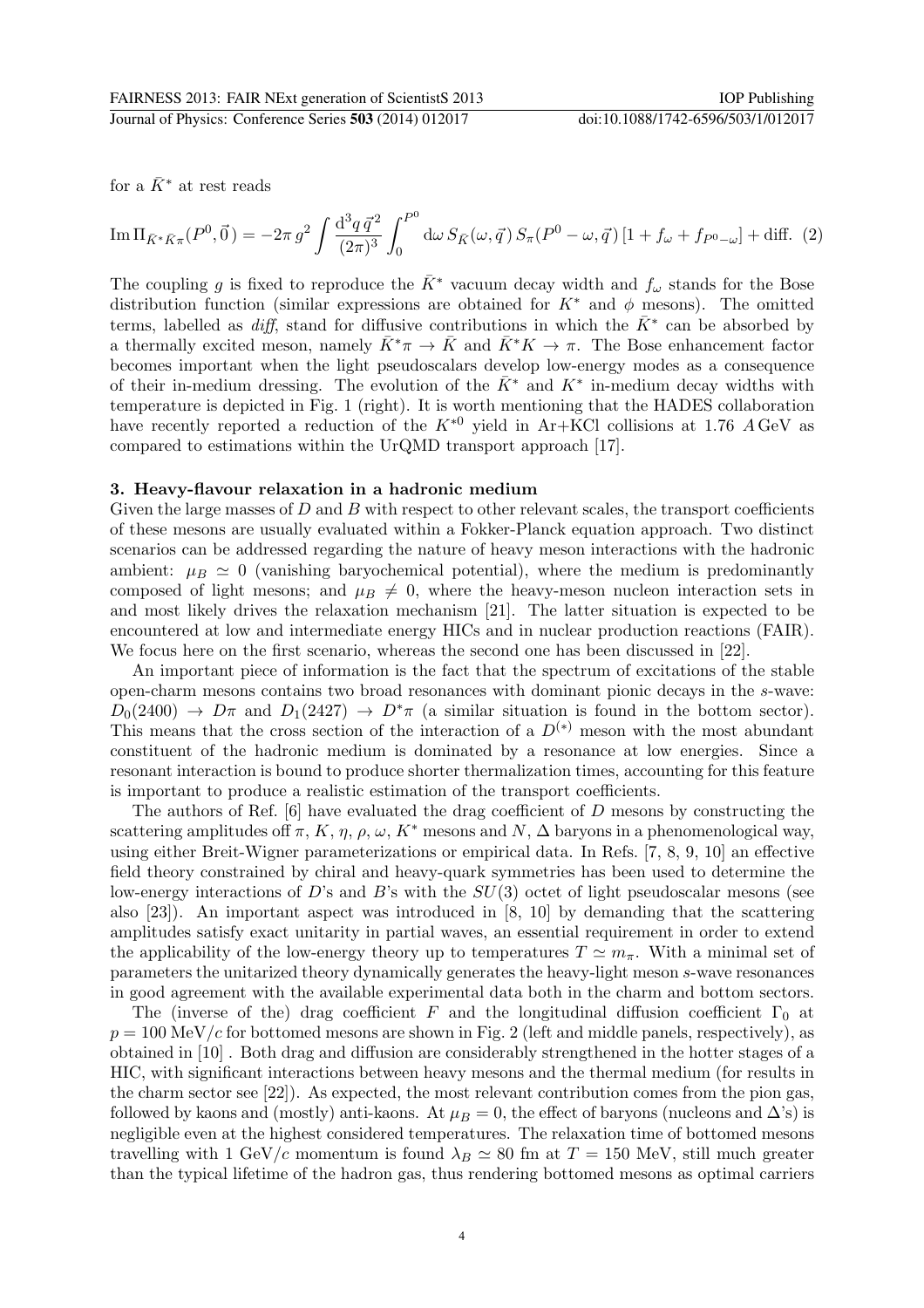for a  $\bar{K}^*$  at rest reads

$$
\operatorname{Im} \Pi_{\bar{K}^* \bar{K} \pi}(P^0, \vec{0}) = -2\pi g^2 \int \frac{\mathrm{d}^3 q \, \vec{q}^2}{(2\pi)^3} \int_0^{P^0} \mathrm{d}\omega \, S_{\bar{K}}(\omega, \vec{q}) \, S_{\pi}(P^0 - \omega, \vec{q}) \left[1 + f_{\omega} + f_{P^0 - \omega}\right] + \text{diff.} \tag{2}
$$

The coupling g is fixed to reproduce the  $\bar{K}^*$  vacuum decay width and  $f_\omega$  stands for the Bose distribution function (similar expressions are obtained for  $K^*$  and  $\phi$  mesons). The omitted terms, labelled as  $diff$ , stand for diffusive contributions in which the  $\bar{K}^*$  can be absorbed by a thermally excited meson, namely  $K^*\pi \to K$  and  $K^*K \to \pi$ . The Bose enhancement factor becomes important when the light pseudoscalars develop low-energy modes as a consequence of their in-medium dressing. The evolution of the  $\overline{K}^*$  and  $K^*$  in-medium decay widths with temperature is depicted in Fig. 1 (right). It is worth mentioning that the HADES collaboration have recently reported a reduction of the  $K^{*0}$  yield in Ar+KCl collisions at 1.76 A GeV as compared to estimations within the UrQMD transport approach [17].

## 3. Heavy-flavour relaxation in a hadronic medium

Given the large masses of  $D$  and  $B$  with respect to other relevant scales, the transport coefficients of these mesons are usually evaluated within a Fokker-Planck equation approach. Two distinct scenarios can be addressed regarding the nature of heavy meson interactions with the hadronic ambient:  $\mu_B \simeq 0$  (vanishing baryochemical potential), where the medium is predominantly composed of light mesons; and  $\mu_B \neq 0$ , where the heavy-meson nucleon interaction sets in and most likely drives the relaxation mechanism [21]. The latter situation is expected to be encountered at low and intermediate energy HICs and in nuclear production reactions (FAIR). We focus here on the first scenario, whereas the second one has been discussed in [22].

An important piece of information is the fact that the spectrum of excitations of the stable open-charm mesons contains two broad resonances with dominant pionic decays in the s-wave:  $D_0(2400) \rightarrow D\pi$  and  $D_1(2427) \rightarrow D^*\pi$  (a similar situation is found in the bottom sector). This means that the cross section of the interaction of a  $D^{(*)}$  meson with the most abundant constituent of the hadronic medium is dominated by a resonance at low energies. Since a resonant interaction is bound to produce shorter thermalization times, accounting for this feature is important to produce a realistic estimation of the transport coefficients.

The authors of Ref. [6] have evaluated the drag coefficient of D mesons by constructing the scattering amplitudes off  $\pi$ , K,  $\eta$ ,  $\rho$ ,  $\omega$ , K<sup>\*</sup> mesons and N,  $\Delta$  baryons in a phenomenological way, using either Breit-Wigner parameterizations or empirical data. In Refs. [7, 8, 9, 10] an effective field theory constrained by chiral and heavy-quark symmetries has been used to determine the low-energy interactions of D's and B's with the  $SU(3)$  octet of light pseudoscalar mesons (see also [23]). An important aspect was introduced in [8, 10] by demanding that the scattering amplitudes satisfy exact unitarity in partial waves, an essential requirement in order to extend the applicability of the low-energy theory up to temperatures  $T \simeq m_{\pi}$ . With a minimal set of parameters the unitarized theory dynamically generates the heavy-light meson s-wave resonances in good agreement with the available experimental data both in the charm and bottom sectors.

The (inverse of the) drag coefficient F and the longitudinal diffusion coefficient  $\Gamma_0$  at  $p = 100 \text{ MeV}/c$  for bottomed mesons are shown in Fig. 2 (left and middle panels, respectively), as obtained in [10] . Both drag and diffusion are considerably strengthened in the hotter stages of a HIC, with significant interactions between heavy mesons and the thermal medium (for results in the charm sector see [22]). As expected, the most relevant contribution comes from the pion gas, followed by kaons and (mostly) anti-kaons. At  $\mu_B = 0$ , the effect of baryons (nucleons and  $\Delta$ 's) is negligible even at the highest considered temperatures. The relaxation time of bottomed mesons travelling with 1 GeV/c momentum is found  $\lambda_B \simeq 80$  fm at  $T = 150$  MeV, still much greater than the typical lifetime of the hadron gas, thus rendering bottomed mesons as optimal carriers